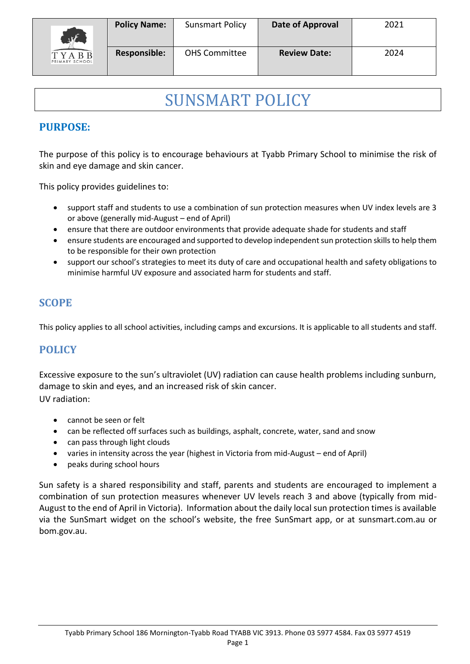

# SUNSMART POLICY

# **PURPOSE:**

The purpose of this policy is to encourage behaviours at Tyabb Primary School to minimise the risk of skin and eye damage and skin cancer.

This policy provides guidelines to:

- support staff and students to use a combination of sun protection measures when UV index levels are 3 or above (generally mid-August – end of April)
- ensure that there are outdoor environments that provide adequate shade for students and staff
- ensure students are encouraged and supported to develop independent sun protection skills to help them to be responsible for their own protection
- support our school's strategies to meet its duty of care and occupational health and safety obligations to minimise harmful UV exposure and associated harm for students and staff.

# **SCOPE**

This policy applies to all school activities, including camps and excursions. It is applicable to all students and staff.

# **POLICY**

Excessive exposure to the sun's ultraviolet (UV) radiation can cause health problems including sunburn, damage to skin and eyes, and an increased risk of skin cancer. UV radiation:

- cannot be seen or felt
- can be reflected off surfaces such as buildings, asphalt, concrete, water, sand and snow
- can pass through light clouds
- varies in intensity across the year (highest in Victoria from mid-August end of April)
- peaks during school hours

Sun safety is a shared responsibility and staff, parents and students are encouraged to implement a combination of sun protection measures whenever UV levels reach 3 and above (typically from mid-August to the end of April in Victoria). Information about the daily local sun protection times is available via the [SunSmart widget](http://www.sunsmart.com.au/uv-sun-protection/uv/uv-widget) on the school's website, the free [SunSmart app,](http://www.sunsmart.com.au/tools/interactive-tools/free-sunsmart-app) or at [sunsmart.com.au](http://www.sunsmart.com.au/) or bom.gov.au.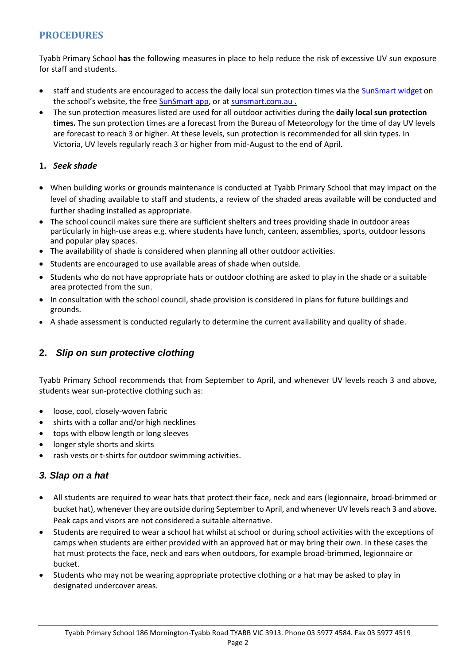## **PROCEDURES**

Tyabb Primary School **has** the following measures in place to help reduce the risk of excessive UV sun exposure for staff and students.

- staff and students are encouraged to access the daily local sun protection times via the [SunSmart widget](http://www.sunsmart.com.au/uv-sun-protection/uv/uv-widget) on the school's website, the free **SunSmart app**, or at [sunsmart.com.au](http://www.sunsmart.com.au/).
- The sun protection measures listed are used for all outdoor activities during the **daily local sun protection times.** The sun protection times are a forecast from the Bureau of Meteorology for the time of day UV levels are forecast to reach 3 or higher. At these levels, sun protection is recommended for all skin types. In Victoria, UV levels regularly reach 3 or higher from mid-August to the end of April.

#### **1.** *Seek shade*

- When building works or grounds maintenance is conducted at Tyabb Primary School that may impact on the level of shading available to staff and students, a review of the shaded areas available will be conducted and further shading installed as appropriate.
- The school council makes sure there are sufficient shelters and trees providing shade in outdoor areas particularly in high-use areas e.g. where students have lunch, canteen, assemblies, sports, outdoor lessons and popular play spaces.
- The availability of shade is considered when planning all other outdoor activities.
- Students are encouraged to use available areas of shade when outside.
- Students who do not have appropriate hats or outdoor clothing are asked to play in the shade or a suitable area protected from the sun.
- In consultation with the school council, shade provision is considered in plans for future buildings and grounds.
- A shade assessment is conducted regularly to determine the current availability and quality of shade.

### **2.** *Slip on sun protective clothing*

Tyabb Primary School recommends that from September to April, and whenever UV levels reach 3 and above, students wear sun-protective clothing such as:

- loose, cool, closely-woven fabric
- shirts with a collar and/or high necklines
- tops with elbow length or long sleeves
- longer style shorts and skirts
- rash vests or t-shirts for outdoor swimming activities.

### *3. Slap on a hat*

- All students are required to wear hats that protect their face, neck and ears (legionnaire, broad-brimmed or bucket hat), whenever they are outside during September to April, and whenever UV levels reach 3 and above. Peak caps and visors are not considered a suitable alternative.
- Students are required to wear a school hat whilst at school or during school activities with the exceptions of camps when students are either provided with an approved hat or may bring their own. In these cases the hat must protects the face, neck and ears when outdoors, for example broad-brimmed, legionnaire or bucket.
- Students who may not be wearing appropriate protective clothing or a hat may be asked to play in designated undercover areas.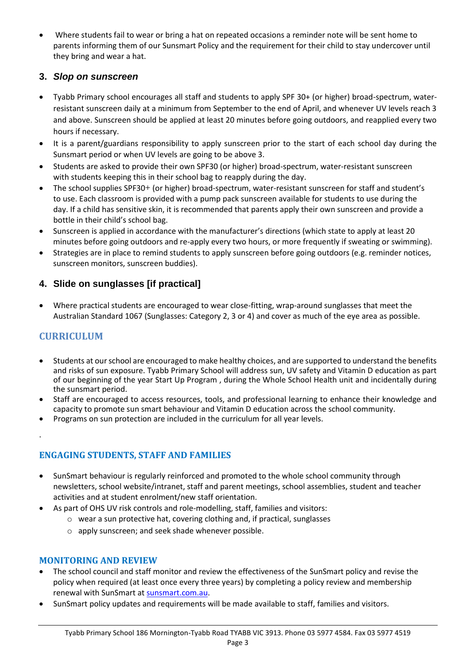Where students fail to wear or bring a hat on repeated occasions a reminder note will be sent home to parents informing them of our Sunsmart Policy and the requirement for their child to stay undercover until they bring and wear a hat.

### **3.** *Slop on sunscreen*

- Tyabb Primary school encourages all staff and students to apply SPF 30+ (or higher) broad-spectrum, waterresistant sunscreen daily at a minimum from September to the end of April, and whenever UV levels reach 3 and above. Sunscreen should be applied at least 20 minutes before going outdoors, and reapplied every two hours if necessary.
- It is a parent/guardians responsibility to apply sunscreen prior to the start of each school day during the Sunsmart period or when UV levels are going to be above 3.
- Students are asked to provide their own SPF30 (or higher) broad-spectrum, water-resistant sunscreen with students keeping this in their school bag to reapply during the day.
- The school supplies SPF30+ (or higher) broad-spectrum, water-resistant sunscreen for staff and student's to use. Each classroom is provided with a pump pack sunscreen available for students to use during the day. If a child has sensitive skin, it is recommended that parents apply their own sunscreen and provide a bottle in their child's school bag.
- Sunscreen is applied in accordance with the manufacturer's directions (which state to apply at least 20 minutes before going outdoors and re-apply every two hours, or more frequently if sweating or swimming).
- Strategies are in place to remind students to apply sunscreen before going outdoors (e.g. reminder notices, sunscreen monitors, sunscreen buddies).

#### **4. Slide on sunglasses [if practical]**

 Where practical students are encouraged to wear close-fitting, wrap-around sunglasses that meet the Australian Standard 1067 (Sunglasses: Category 2, 3 or 4) and cover as much of the eye area as possible.

### **CURRICULUM**

.

- Students at our school are encouraged to make healthy choices, and are supported to understand the benefits and risks of sun exposure. Tyabb Primary School will address sun, UV safety and Vitamin D education as part of our beginning of the year Start Up Program , during the Whole School Health unit and incidentally during the sunsmart period.
- Staff are encouraged to access resources, tools, and professional learning to enhance their knowledge and capacity to promote sun smart behaviour and Vitamin D education across the school community.
- Programs on sun protection are included in the curriculum for all year levels.

#### **ENGAGING STUDENTS, STAFF AND FAMILIES**

- SunSmart behaviour is regularly reinforced and promoted to the whole school community through newsletters, school website/intranet, staff and parent meetings, school assemblies, student and teacher activities and at student enrolment/new staff orientation.
- As part of OHS UV risk controls and role-modelling, staff, families and visitors:
	- o wear a sun protective hat, covering clothing and, if practical, sunglasses
		- o apply sunscreen; and seek shade whenever possible.

#### **MONITORING AND REVIEW**

- The school council and staff monitor and review the effectiveness of the SunSmart policy and revise the policy when required (at least once every three years) by completing a policy review and membership renewal with SunSmart at sunsmart.com.au.
- SunSmart policy updates and requirements will be made available to staff, families and visitors.